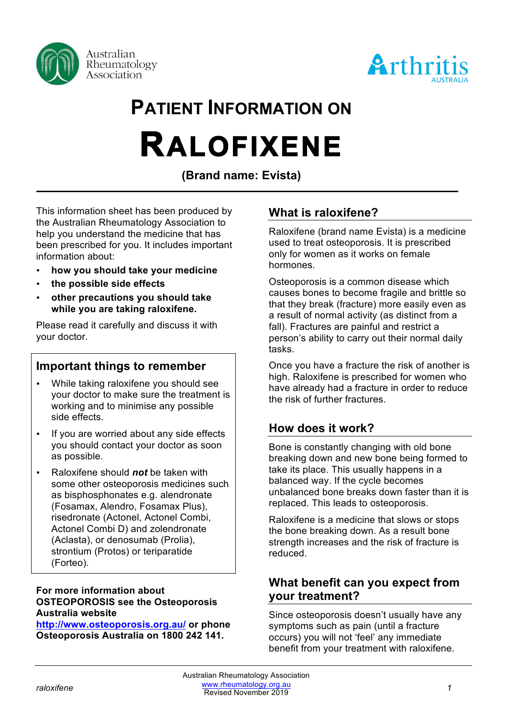



# **PATIENT INFORMATION ON RALOFIXENE**

**(Brand name: Evista)**

This information sheet has been produced by the Australian Rheumatology Association to help you understand the medicine that has been prescribed for you. It includes important information about:

- **how you should take your medicine**
- **the possible side effects**
- **other precautions you should take while you are taking raloxifene.**

Please read it carefully and discuss it with your doctor.

## **Important things to remember**

- While taking raloxifene you should see your doctor to make sure the treatment is working and to minimise any possible side effects.
- If you are worried about any side effects you should contact your doctor as soon as possible.
- Raloxifene should *not* be taken with some other osteoporosis medicines such as bisphosphonates e.g. alendronate (Fosamax, Alendro, Fosamax Plus), risedronate (Actonel, Actonel Combi, Actonel Combi D) and zolendronate (Aclasta), or denosumab (Prolia), strontium (Protos) or teriparatide (Forteo).

#### **For more information about OSTEOPOROSIS see the Osteoporosis Australia website**

**http://www.osteoporosis.org.au/ or phone Osteoporosis Australia on 1800 242 141.**

# **What is raloxifene?**

Raloxifene (brand name Evista) is a medicine used to treat osteoporosis. It is prescribed only for women as it works on female hormones.

Osteoporosis is a common disease which causes bones to become fragile and brittle so that they break (fracture) more easily even as a result of normal activity (as distinct from a fall). Fractures are painful and restrict a person's ability to carry out their normal daily tasks.

Once you have a fracture the risk of another is high. Raloxifene is prescribed for women who have already had a fracture in order to reduce the risk of further fractures.

# **How does it work?**

Bone is constantly changing with old bone breaking down and new bone being formed to take its place. This usually happens in a balanced way. If the cycle becomes unbalanced bone breaks down faster than it is replaced. This leads to osteoporosis.

Raloxifene is a medicine that slows or stops the bone breaking down. As a result bone strength increases and the risk of fracture is reduced.

## **What benefit can you expect from your treatment?**

Since osteoporosis doesn't usually have any symptoms such as pain (until a fracture occurs) you will not 'feel' any immediate benefit from your treatment with raloxifene.

*raloxifene 1* www.rheumatology.org.au Australian Rheumatology Association Revised November 2019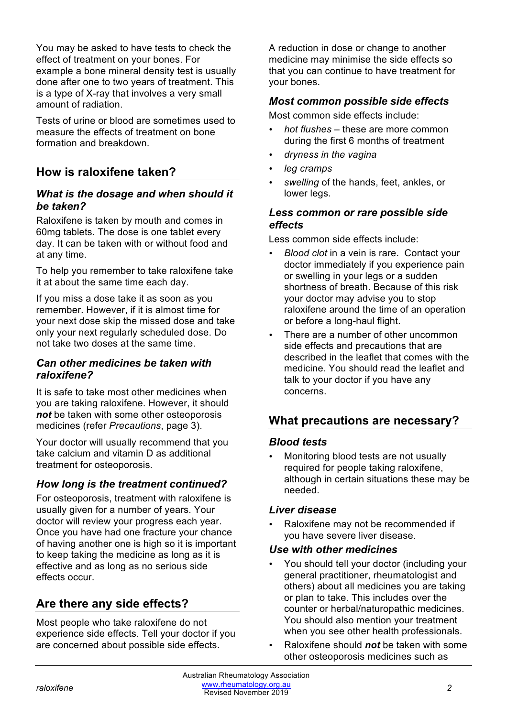You may be asked to have tests to check the effect of treatment on your bones. For example a bone mineral density test is usually done after one to two years of treatment. This is a type of X-ray that involves a very small amount of radiation.

Tests of urine or blood are sometimes used to measure the effects of treatment on bone formation and breakdown.

# **How is raloxifene taken?**

#### *What is the dosage and when should it be taken?*

Raloxifene is taken by mouth and comes in 60mg tablets. The dose is one tablet every day. It can be taken with or without food and at any time.

To help you remember to take raloxifene take it at about the same time each day.

If you miss a dose take it as soon as you remember. However, if it is almost time for your next dose skip the missed dose and take only your next regularly scheduled dose. Do not take two doses at the same time.

## *Can other medicines be taken with raloxifene?*

It is safe to take most other medicines when you are taking raloxifene. However, it should *not* be taken with some other osteoporosis medicines (refer *Precautions*, page 3).

Your doctor will usually recommend that you take calcium and vitamin D as additional treatment for osteoporosis.

## *How long is the treatment continued?*

For osteoporosis, treatment with raloxifene is usually given for a number of years. Your doctor will review your progress each year. Once you have had one fracture your chance of having another one is high so it is important to keep taking the medicine as long as it is effective and as long as no serious side effects occur.

## **Are there any side effects?**

Most people who take raloxifene do not experience side effects. Tell your doctor if you are concerned about possible side effects.

A reduction in dose or change to another medicine may minimise the side effects so that you can continue to have treatment for your bones.

#### *Most common possible side effects*

Most common side effects include:

- *hot flushes* these are more common during the first 6 months of treatment
- *dryness in the vagina*
- *leg cramps*
- *swelling* of the hands, feet, ankles, or lower legs.

## *Less common or rare possible side effects*

Less common side effects include:

- *Blood clot* in a vein is rare. Contact your doctor immediately if you experience pain or swelling in your legs or a sudden shortness of breath. Because of this risk your doctor may advise you to stop raloxifene around the time of an operation or before a long-haul flight.
- There are a number of other uncommon side effects and precautions that are described in the leaflet that comes with the medicine. You should read the leaflet and talk to your doctor if you have any concerns.

## **What precautions are necessary?**

#### *Blood tests*

• Monitoring blood tests are not usually required for people taking raloxifene, although in certain situations these may be needed.

## *Liver disease*

• Raloxifene may not be recommended if you have severe liver disease.

#### *Use with other medicines*

- You should tell your doctor (including your general practitioner, rheumatologist and others) about all medicines you are taking or plan to take. This includes over the counter or herbal/naturopathic medicines. You should also mention your treatment when you see other health professionals.
- Raloxifene should *not* be taken with some other osteoporosis medicines such as